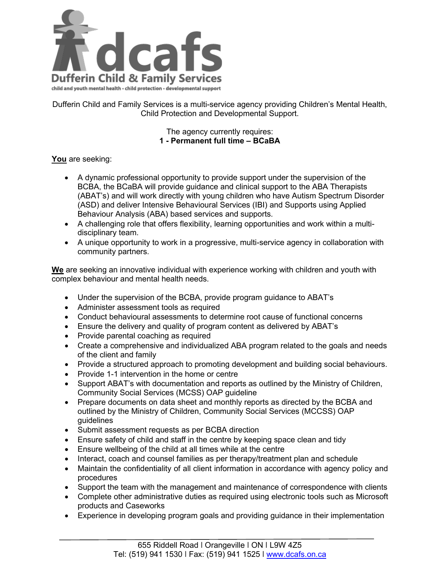

Dufferin Child and Family Services is a multi-service agency providing Children's Mental Health, Child Protection and Developmental Support.

## The agency currently requires: **1 - Permanent full time – BCaBA**

## **You** are seeking:

- A dynamic professional opportunity to provide support under the supervision of the BCBA, the BCaBA will provide guidance and clinical support to the ABA Therapists (ABAT's) and will work directly with young children who have Autism Spectrum Disorder (ASD) and deliver Intensive Behavioural Services (IBI) and Supports using Applied Behaviour Analysis (ABA) based services and supports.
- A challenging role that offers flexibility, learning opportunities and work within a multidisciplinary team.
- A unique opportunity to work in a progressive, multi-service agency in collaboration with community partners.

**We** are seeking an innovative individual with experience working with children and youth with complex behaviour and mental health needs.

- Under the supervision of the BCBA, provide program guidance to ABAT's
- Administer assessment tools as required
- Conduct behavioural assessments to determine root cause of functional concerns
- Ensure the delivery and quality of program content as delivered by ABAT's
- Provide parental coaching as required
- Create a comprehensive and individualized ABA program related to the goals and needs of the client and family
- Provide a structured approach to promoting development and building social behaviours.
- Provide 1-1 intervention in the home or centre
- Support ABAT's with documentation and reports as outlined by the Ministry of Children, Community Social Services (MCSS) OAP guideline
- Prepare documents on data sheet and monthly reports as directed by the BCBA and outlined by the Ministry of Children, Community Social Services (MCCSS) OAP guidelines
- Submit assessment requests as per BCBA direction
- Ensure safety of child and staff in the centre by keeping space clean and tidy
- Ensure wellbeing of the child at all times while at the centre
- Interact, coach and counsel families as per therapy/treatment plan and schedule
- Maintain the confidentiality of all client information in accordance with agency policy and procedures
- Support the team with the management and maintenance of correspondence with clients
- Complete other administrative duties as required using electronic tools such as Microsoft products and Caseworks
- Experience in developing program goals and providing guidance in their implementation